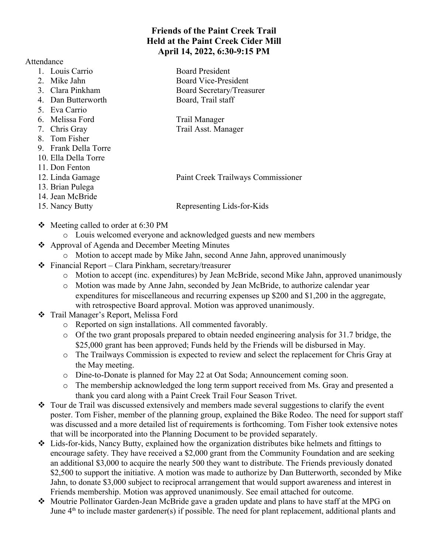## **Friends of the Paint Creek Trail Held at the Paint Creek Cider Mill April 14, 2022, 6:30-9:15 PM**

Attendance

- 1. Louis Carrio Board President
- 
- 
- 4. Dan Butterworth Board, Trail staff
- 5. Eva Carrio
- 6. Melissa Ford Trail Manager
- 
- 8. Tom Fisher
- 9. Frank Della Torre
- 10. Ella Della Torre
- 11. Don Fenton
- 
- 13. Brian Pulega
- 14. Jean McBride
- 

2. Mike Jahn Board Vice-President 3. Clara Pinkham Board Secretary/Treasurer

- 
- 7. Chris Gray Trail Asst. Manager

12. Linda Gamage Paint Creek Trailways Commissioner

15. Nancy Butty Representing Lids-for-Kids

- $\div$  Meeting called to order at 6:30 PM
	- o Louis welcomed everyone and acknowledged guests and new members
- Approval of Agenda and December Meeting Minutes
	- o Motion to accept made by Mike Jahn, second Anne Jahn, approved unanimously
- $\div$  Financial Report Clara Pinkham, secretary/treasurer
	- o Motion to accept (inc. expenditures) by Jean McBride, second Mike Jahn, approved unanimously
	- o Motion was made by Anne Jahn, seconded by Jean McBride, to authorize calendar year expenditures for miscellaneous and recurring expenses up \$200 and \$1,200 in the aggregate, with retrospective Board approval. Motion was approved unanimously.
- \* Trail Manager's Report, Melissa Ford
	- o Reported on sign installations. All commented favorably.
	- o Of the two grant proposals prepared to obtain needed engineering analysis for 31.7 bridge, the \$25,000 grant has been approved; Funds held by the Friends will be disbursed in May.
	- o The Trailways Commission is expected to review and select the replacement for Chris Gray at the May meeting.
	- o Dine-to-Donate is planned for May 22 at Oat Soda; Announcement coming soon.
	- o The membership acknowledged the long term support received from Ms. Gray and presented a thank you card along with a Paint Creek Trail Four Season Trivet.
- Tour de Trail was discussed extensively and members made several suggestions to clarify the event poster. Tom Fisher, member of the planning group, explained the Bike Rodeo. The need for support staff was discussed and a more detailed list of requirements is forthcoming. Tom Fisher took extensive notes that will be incorporated into the Planning Document to be provided separately.
- Lids-for-kids, Nancy Butty, explained how the organization distributes bike helmets and fittings to encourage safety. They have received a \$2,000 grant from the Community Foundation and are seeking an additional \$3,000 to acquire the nearly 500 they want to distribute. The Friends previously donated \$2,500 to support the initiative. A motion was made to authorize by Dan Butterworth, seconded by Mike Jahn, to donate \$3,000 subject to reciprocal arrangement that would support awareness and interest in Friends membership. Motion was approved unanimously. See email attached for outcome.
- Moutrie Pollinator Garden-Jean McBride gave a graden update and plans to have staff at the MPG on June  $4<sup>th</sup>$  to include master gardener(s) if possible. The need for plant replacement, additional plants and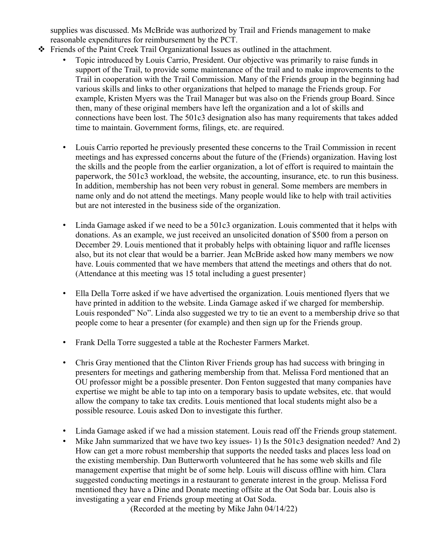supplies was discussed. Ms McBride was authorized by Trail and Friends management to make reasonable expenditures for reimbursement by the PCT.

- Friends of the Paint Creek Trail Organizational Issues as outlined in the attachment.
	- Topic introduced by Louis Carrio, President. Our objective was primarily to raise funds in support of the Trail, to provide some maintenance of the trail and to make improvements to the Trail in cooperation with the Trail Commission. Many of the Friends group in the beginning had various skills and links to other organizations that helped to manage the Friends group. For example, Kristen Myers was the Trail Manager but was also on the Friends group Board. Since then, many of these original members have left the organization and a lot of skills and connections have been lost. The 501c3 designation also has many requirements that takes added time to maintain. Government forms, filings, etc. are required.
	- Louis Carrio reported he previously presented these concerns to the Trail Commission in recent meetings and has expressed concerns about the future of the (Friends) organization. Having lost the skills and the people from the earlier organization, a lot of effort is required to maintain the paperwork, the 501c3 workload, the website, the accounting, insurance, etc. to run this business. In addition, membership has not been very robust in general. Some members are members in name only and do not attend the meetings. Many people would like to help with trail activities but are not interested in the business side of the organization.
	- Linda Gamage asked if we need to be a 501c3 organization. Louis commented that it helps with donations. As an example, we just received an unsolicited donation of \$500 from a person on December 29. Louis mentioned that it probably helps with obtaining liquor and raffle licenses also, but its not clear that would be a barrier. Jean McBride asked how many members we now have. Louis commented that we have members that attend the meetings and others that do not. (Attendance at this meeting was 15 total including a guest presenter}
	- Ella Della Torre asked if we have advertised the organization. Louis mentioned flyers that we have printed in addition to the website. Linda Gamage asked if we charged for membership. Louis responded" No". Linda also suggested we try to tie an event to a membership drive so that people come to hear a presenter (for example) and then sign up for the Friends group.
	- Frank Della Torre suggested a table at the Rochester Farmers Market.
	- Chris Gray mentioned that the Clinton River Friends group has had success with bringing in presenters for meetings and gathering membership from that. Melissa Ford mentioned that an OU professor might be a possible presenter. Don Fenton suggested that many companies have expertise we might be able to tap into on a temporary basis to update websites, etc. that would allow the company to take tax credits. Louis mentioned that local students might also be a possible resource. Louis asked Don to investigate this further.
	- Linda Gamage asked if we had a mission statement. Louis read off the Friends group statement.
	- Mike Jahn summarized that we have two key issues- 1) Is the 501c3 designation needed? And 2) How can get a more robust membership that supports the needed tasks and places less load on the existing membership. Dan Butterworth volunteered that he has some web skills and file management expertise that might be of some help. Louis will discuss offline with him. Clara suggested conducting meetings in a restaurant to generate interest in the group. Melissa Ford mentioned they have a Dine and Donate meeting offsite at the Oat Soda bar. Louis also is investigating a year end Friends group meeting at Oat Soda.

(Recorded at the meeting by Mike Jahn 04/14/22)